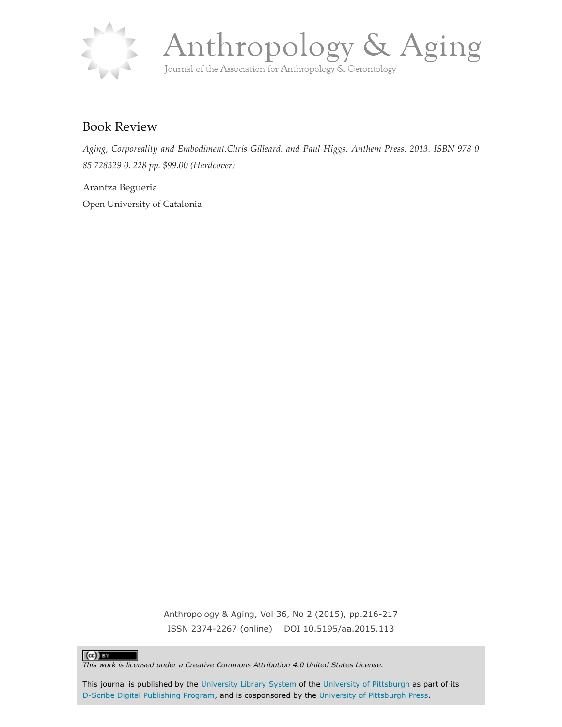



## Book Review

*Aging, Corporeality and Embodiment.Chris Gilleard, and Paul Higgs. Anthem Press. 2013. ISBN 978 0 85 728329 0. 228 pp. \$99.00 (Hardcover)*

Arantza Begueria Open University of Catalonia

> Anthropology & Aging, Vol 36, No 2 (2015), pp.216-217 ISSN 2374-2267 (online) DOI 10.5195/aa.2015.113

## $(cc)$  BY

*This work is licensed under a Creative Commons Attribution 4.0 United States License.*

This journal is published by the [University Library System](http://www.library.pitt.edu/) of the [University of Pittsburgh](http://www.pitt.edu/) as part of its [D-Scribe Digital Publishing Program,](http://www.library.pitt.edu/articles/digpubtype/index.html) and is cosponsored by the [University of Pittsburgh Press.](http://www.upress.pitt.edu/upressIndex.aspx)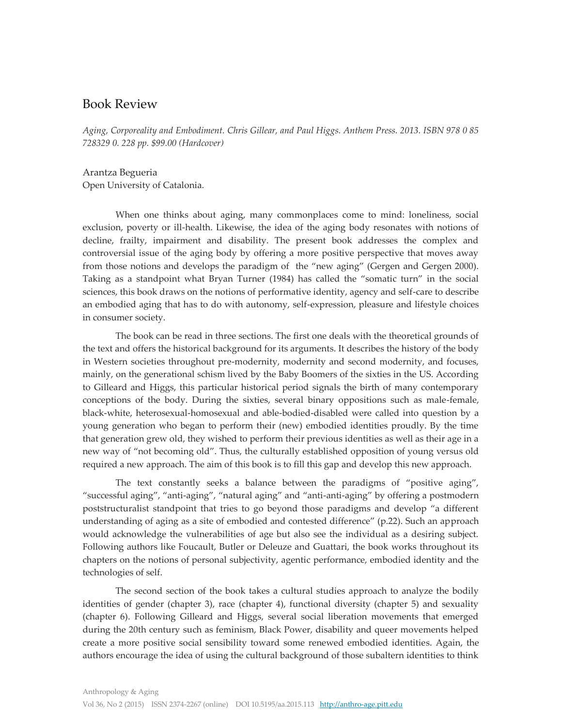## Book Review

*Aging, Corporeality and Embodiment. Chris Gillear, and Paul Higgs. Anthem Press. 2013. ISBN 978 0 85 728329 0. 228 pp. \$99.00 (Hardcover)*

Arantza Begueria Open University of Catalonia.

When one thinks about aging, many commonplaces come to mind: loneliness, social exclusion, poverty or ill-health. Likewise, the idea of the aging body resonates with notions of decline, frailty, impairment and disability. The present book addresses the complex and controversial issue of the aging body by offering a more positive perspective that moves away from those notions and develops the paradigm of the "new aging" (Gergen and Gergen 2000). Taking as a standpoint what Bryan Turner (1984) has called the "somatic turn" in the social sciences, this book draws on the notions of performative identity, agency and self-care to describe an embodied aging that has to do with autonomy, self-expression, pleasure and lifestyle choices in consumer society.

The book can be read in three sections. The first one deals with the theoretical grounds of the text and offers the historical background for its arguments. It describes the history of the body in Western societies throughout pre-modernity, modernity and second modernity, and focuses, mainly, on the generational schism lived by the Baby Boomers of the sixties in the US. According to Gilleard and Higgs, this particular historical period signals the birth of many contemporary conceptions of the body. During the sixties, several binary oppositions such as male-female, black-white, heterosexual-homosexual and able-bodied-disabled were called into question by a young generation who began to perform their (new) embodied identities proudly. By the time that generation grew old, they wished to perform their previous identities as well as their age in a new way of "not becoming old". Thus, the culturally established opposition of young versus old required a new approach. The aim of this book is to fill this gap and develop this new approach.

The text constantly seeks a balance between the paradigms of "positive aging", "successful aging", "anti-aging", "natural aging" and "anti-anti-aging" by offering a postmodern poststructuralist standpoint that tries to go beyond those paradigms and develop "a different understanding of aging as a site of embodied and contested difference" (p.22). Such an approach would acknowledge the vulnerabilities of age but also see the individual as a desiring subject. Following authors like Foucault, Butler or Deleuze and Guattari, the book works throughout its chapters on the notions of personal subjectivity, agentic performance, embodied identity and the technologies of self.

The second section of the book takes a cultural studies approach to analyze the bodily identities of gender (chapter 3), race (chapter 4), functional diversity (chapter 5) and sexuality (chapter 6). Following Gilleard and Higgs, several social liberation movements that emerged during the 20th century such as feminism, Black Power, disability and queer movements helped create a more positive social sensibility toward some renewed embodied identities. Again, the authors encourage the idea of using the cultural background of those subaltern identities to think